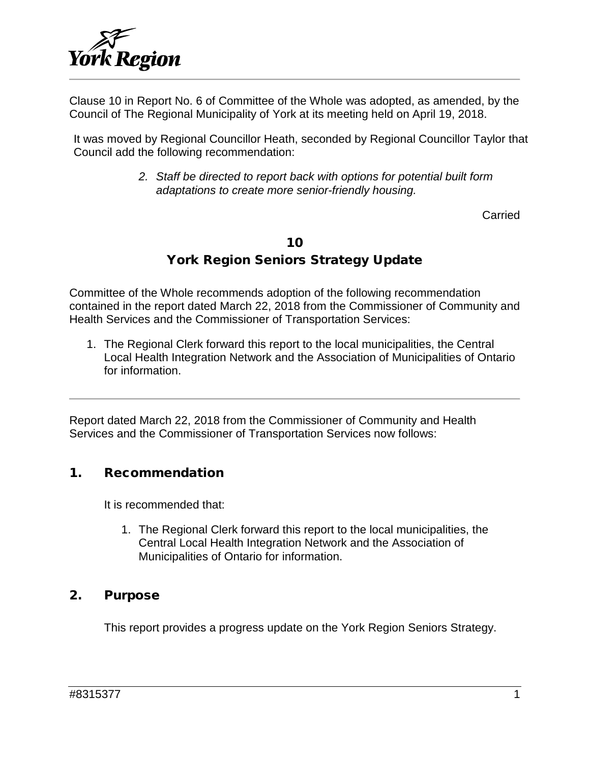

Clause 10 in Report No. 6 of Committee of the Whole was adopted, as amended, by the Council of The Regional Municipality of York at its meeting held on April 19, 2018.

It was moved by Regional Councillor Heath, seconded by Regional Councillor Taylor that Council add the following recommendation:

> *2. Staff be directed to report back with options for potential built form adaptations to create more senior-friendly housing.*

> > Carried

#### 10

### York Region Seniors Strategy Update

Committee of the Whole recommends adoption of the following recommendation contained in the report dated March 22, 2018 from the Commissioner of Community and Health Services and the Commissioner of Transportation Services:

1. The Regional Clerk forward this report to the local municipalities, the Central Local Health Integration Network and the Association of Municipalities of Ontario for information.

Report dated March 22, 2018 from the Commissioner of Community and Health Services and the Commissioner of Transportation Services now follows:

#### 1. Recommendation

It is recommended that:

1. The Regional Clerk forward this report to the local municipalities, the Central Local Health Integration Network and the Association of Municipalities of Ontario for information.

#### 2. Purpose

This report provides a progress update on the York Region Seniors Strategy.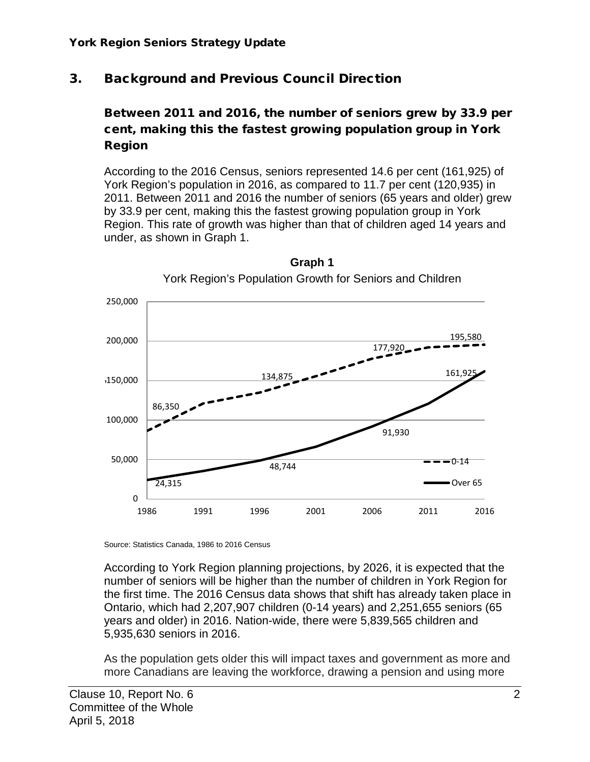# 3. Background and Previous Council Direction

### Between 2011 and 2016, the number of seniors grew by 33.9 per cent, making this the fastest growing population group in York Region

According to the 2016 Census, seniors represented 14.6 per cent (161,925) of York Region's population in 2016, as compared to 11.7 per cent (120,935) in 2011. Between 2011 and 2016 the number of seniors (65 years and older) grew by 33.9 per cent, making this the fastest growing population group in York Region. This rate of growth was higher than that of children aged 14 years and under, as shown in Graph 1.



**Graph 1** York Region's Population Growth for Seniors and Children

Source: Statistics Canada, 1986 to 2016 Census

According to York Region planning projections, by 2026, it is expected that the number of seniors will be higher than the number of children in York Region for the first time. The 2016 Census data shows that shift has already taken place in Ontario, which had 2,207,907 children (0-14 years) and 2,251,655 seniors (65 years and older) in 2016. Nation-wide, there were 5,839,565 children and 5,935,630 seniors in 2016.

As the population gets older this will impact taxes and government as more and more Canadians are leaving the workforce, drawing a pension and using more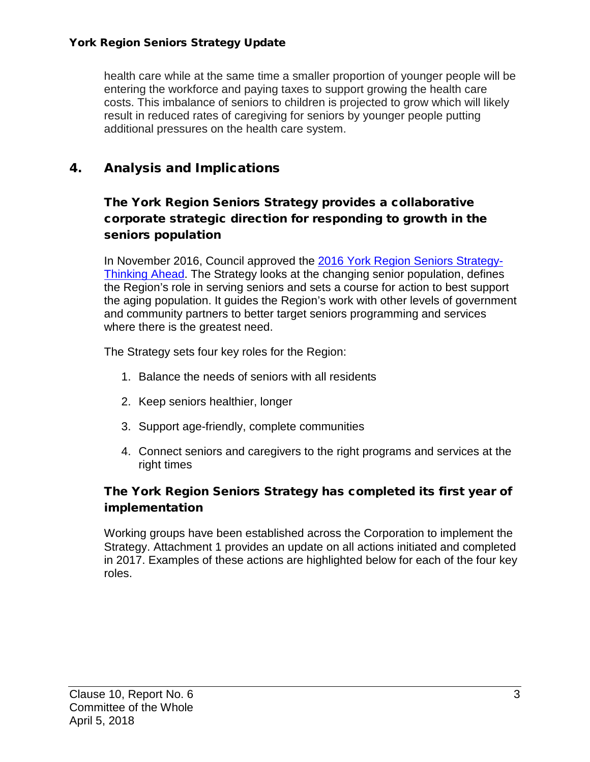#### York Region Seniors Strategy Update

health care while at the same time a smaller proportion of younger people will be entering the workforce and paying taxes to support growing the health care costs. This imbalance of seniors to children is projected to grow which will likely result in reduced rates of caregiving for seniors by younger people putting additional pressures on the health care system.

### 4. Analysis and Implications

### The York Region Seniors Strategy provides a collaborative corporate strategic direction for responding to growth in the seniors population

In November 2016, Council approved the [2016 York Region Seniors Strategy-](http://www.york.ca/wps/wcm/connect/yorkpublic/110d7b6b-daed-4c7b-82e4-5ffa0a1f2b3e/nov+3+seniors+ex.pdf?MOD=AJPERES)[Thinking Ahead.](http://www.york.ca/wps/wcm/connect/yorkpublic/110d7b6b-daed-4c7b-82e4-5ffa0a1f2b3e/nov+3+seniors+ex.pdf?MOD=AJPERES) The Strategy looks at the changing senior population, defines the Region's role in serving seniors and sets a course for action to best support the aging population. It guides the Region's work with other levels of government and community partners to better target seniors programming and services where there is the greatest need.

The Strategy sets four key roles for the Region:

- 1. Balance the needs of seniors with all residents
- 2. Keep seniors healthier, longer
- 3. Support age-friendly, complete communities
- 4. Connect seniors and caregivers to the right programs and services at the right times

### The York Region Seniors Strategy has completed its first year of implementation

Working groups have been established across the Corporation to implement the Strategy. Attachment 1 provides an update on all actions initiated and completed in 2017. Examples of these actions are highlighted below for each of the four key roles.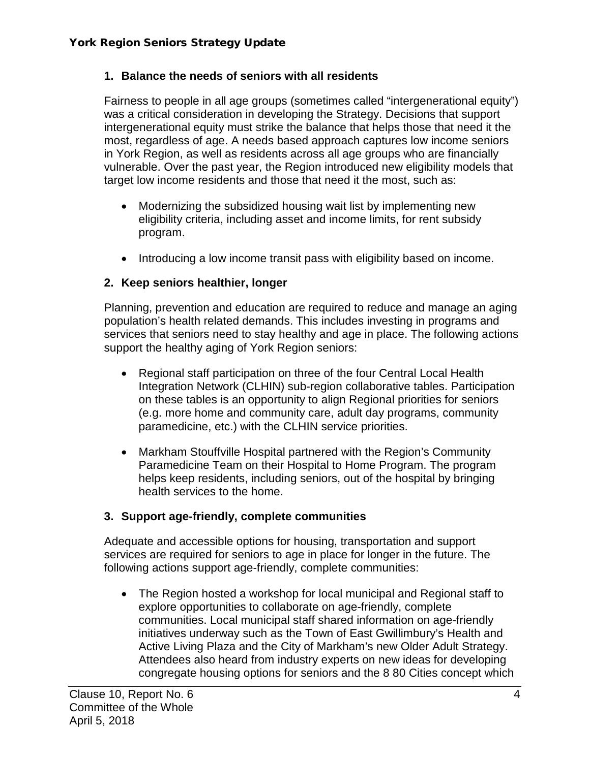#### **1. Balance the needs of seniors with all residents**

Fairness to people in all age groups (sometimes called "intergenerational equity") was a critical consideration in developing the Strategy. Decisions that support intergenerational equity must strike the balance that helps those that need it the most, regardless of age. A needs based approach captures low income seniors in York Region, as well as residents across all age groups who are financially vulnerable. Over the past year, the Region introduced new eligibility models that target low income residents and those that need it the most, such as:

- Modernizing the subsidized housing wait list by implementing new eligibility criteria, including asset and income limits, for rent subsidy program.
- Introducing a low income transit pass with eligibility based on income.

#### **2. Keep seniors healthier, longer**

Planning, prevention and education are required to reduce and manage an aging population's health related demands. This includes investing in programs and services that seniors need to stay healthy and age in place. The following actions support the healthy aging of York Region seniors:

- Regional staff participation on three of the four Central Local Health Integration Network (CLHIN) sub-region collaborative tables. Participation on these tables is an opportunity to align Regional priorities for seniors (e.g. more home and community care, adult day programs, community paramedicine, etc.) with the CLHIN service priorities.
- Markham Stouffville Hospital partnered with the Region's Community Paramedicine Team on their Hospital to Home Program. The program helps keep residents, including seniors, out of the hospital by bringing health services to the home.

#### **3. Support age-friendly, complete communities**

Adequate and accessible options for housing, transportation and support services are required for seniors to age in place for longer in the future. The following actions support age-friendly, complete communities:

• The Region hosted a workshop for local municipal and Regional staff to explore opportunities to collaborate on age-friendly, complete communities. Local municipal staff shared information on age-friendly initiatives underway such as the Town of East Gwillimbury's Health and Active Living Plaza and the City of Markham's new Older Adult Strategy. Attendees also heard from industry experts on new ideas for developing congregate housing options for seniors and the 8 80 Cities concept which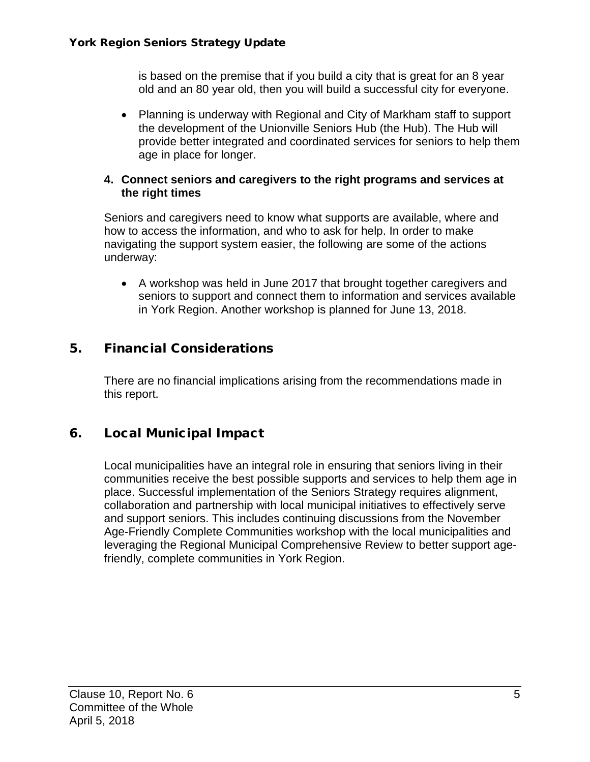is based on the premise that if you build a city that is great for an 8 year old and an 80 year old, then you will build a successful city for everyone.

• Planning is underway with Regional and City of Markham staff to support the development of the Unionville Seniors Hub (the Hub). The Hub will provide better integrated and coordinated services for seniors to help them age in place for longer.

#### **4. Connect seniors and caregivers to the right programs and services at the right times**

Seniors and caregivers need to know what supports are available, where and how to access the information, and who to ask for help. In order to make navigating the support system easier, the following are some of the actions underway:

• A workshop was held in June 2017 that brought together caregivers and seniors to support and connect them to information and services available in York Region. Another workshop is planned for June 13, 2018.

### 5. Financial Considerations

There are no financial implications arising from the recommendations made in this report.

# 6. Local Municipal Impact

Local municipalities have an integral role in ensuring that seniors living in their communities receive the best possible supports and services to help them age in place. Successful implementation of the Seniors Strategy requires alignment, collaboration and partnership with local municipal initiatives to effectively serve and support seniors. This includes continuing discussions from the November Age-Friendly Complete Communities workshop with the local municipalities and leveraging the Regional Municipal Comprehensive Review to better support agefriendly, complete communities in York Region.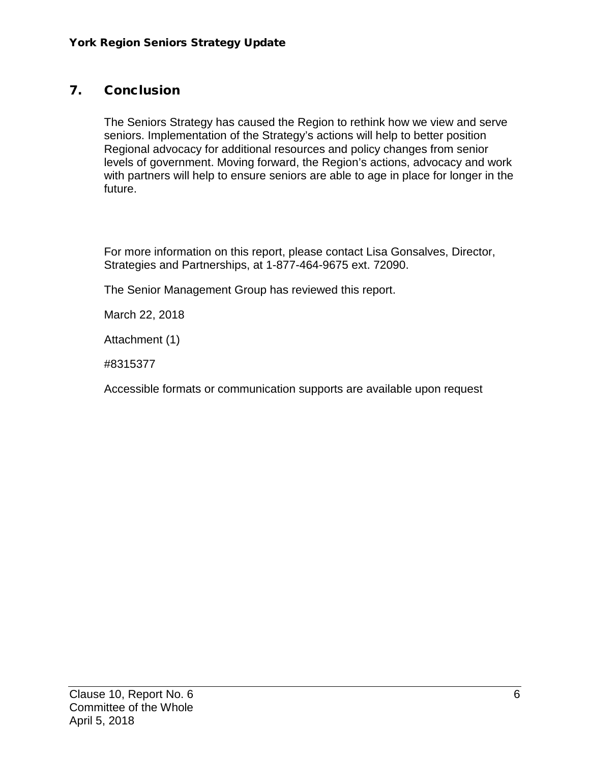### 7. Conclusion

The Seniors Strategy has caused the Region to rethink how we view and serve seniors. Implementation of the Strategy's actions will help to better position Regional advocacy for additional resources and policy changes from senior levels of government. Moving forward, the Region's actions, advocacy and work with partners will help to ensure seniors are able to age in place for longer in the future.

For more information on this report, please contact Lisa Gonsalves, Director, Strategies and Partnerships, at 1-877-464-9675 ext. 72090.

The Senior Management Group has reviewed this report.

March 22, 2018

Attachment (1)

#8315377

Accessible formats or communication supports are available upon request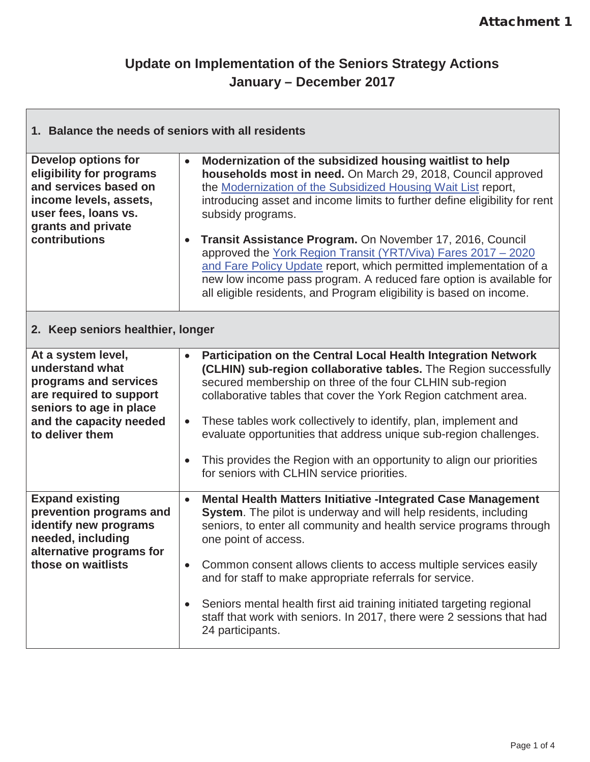$\overline{\mathbf{1}}$ 

# **Update on Implementation of the Seniors Strategy Actions January – December 2017**

| 1. Balance the needs of seniors with all residents                                                                                                                       |                                     |                                                                                                                                                                                                                                                                                                                                                                                                                                                                                                                                                                                                                                                |  |  |
|--------------------------------------------------------------------------------------------------------------------------------------------------------------------------|-------------------------------------|------------------------------------------------------------------------------------------------------------------------------------------------------------------------------------------------------------------------------------------------------------------------------------------------------------------------------------------------------------------------------------------------------------------------------------------------------------------------------------------------------------------------------------------------------------------------------------------------------------------------------------------------|--|--|
| <b>Develop options for</b><br>eligibility for programs<br>and services based on<br>income levels, assets,<br>user fees, loans vs.<br>grants and private<br>contributions | $\bullet$<br>$\bullet$              | Modernization of the subsidized housing waitlist to help<br>households most in need. On March 29, 2018, Council approved<br>the Modernization of the Subsidized Housing Wait List report,<br>introducing asset and income limits to further define eligibility for rent<br>subsidy programs.<br>Transit Assistance Program. On November 17, 2016, Council<br>approved the York Region Transit (YRT/Viva) Fares 2017 - 2020<br>and Fare Policy Update report, which permitted implementation of a<br>new low income pass program. A reduced fare option is available for<br>all eligible residents, and Program eligibility is based on income. |  |  |
| 2. Keep seniors healthier, longer                                                                                                                                        |                                     |                                                                                                                                                                                                                                                                                                                                                                                                                                                                                                                                                                                                                                                |  |  |
| At a system level,<br>understand what<br>programs and services<br>are required to support<br>seniors to age in place<br>and the capacity needed<br>to deliver them       | $\bullet$<br>$\bullet$<br>$\bullet$ | Participation on the Central Local Health Integration Network<br>(CLHIN) sub-region collaborative tables. The Region successfully<br>secured membership on three of the four CLHIN sub-region<br>collaborative tables that cover the York Region catchment area.<br>These tables work collectively to identify, plan, implement and<br>evaluate opportunities that address unique sub-region challenges.<br>This provides the Region with an opportunity to align our priorities<br>for seniors with CLHIN service priorities.                                                                                                                 |  |  |
| <b>Expand existing</b><br>prevention programs and<br>identify new programs<br>needed, including<br>alternative programs for<br>those on waitlists                        | $\bullet$<br>$\bullet$<br>$\bullet$ | <b>Mental Health Matters Initiative -Integrated Case Management</b><br>System. The pilot is underway and will help residents, including<br>seniors, to enter all community and health service programs through<br>one point of access.<br>Common consent allows clients to access multiple services easily<br>and for staff to make appropriate referrals for service.<br>Seniors mental health first aid training initiated targeting regional<br>staff that work with seniors. In 2017, there were 2 sessions that had<br>24 participants.                                                                                                   |  |  |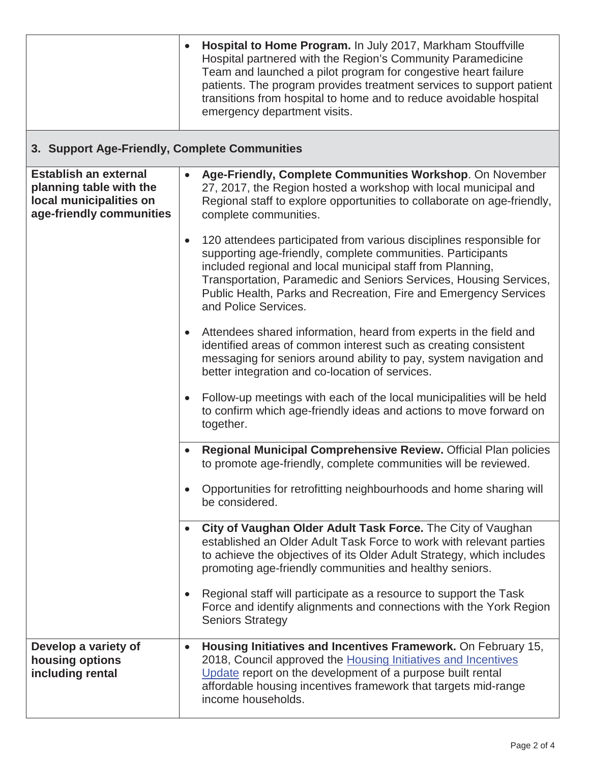|                                                                                                                | $\bullet$ | Hospital to Home Program. In July 2017, Markham Stouffville<br>Hospital partnered with the Region's Community Paramedicine<br>Team and launched a pilot program for congestive heart failure<br>patients. The program provides treatment services to support patient<br>transitions from hospital to home and to reduce avoidable hospital<br>emergency department visits. |  |  |
|----------------------------------------------------------------------------------------------------------------|-----------|----------------------------------------------------------------------------------------------------------------------------------------------------------------------------------------------------------------------------------------------------------------------------------------------------------------------------------------------------------------------------|--|--|
| 3. Support Age-Friendly, Complete Communities                                                                  |           |                                                                                                                                                                                                                                                                                                                                                                            |  |  |
| <b>Establish an external</b><br>planning table with the<br>local municipalities on<br>age-friendly communities | $\bullet$ | Age-Friendly, Complete Communities Workshop. On November<br>27, 2017, the Region hosted a workshop with local municipal and<br>Regional staff to explore opportunities to collaborate on age-friendly,<br>complete communities.                                                                                                                                            |  |  |
|                                                                                                                | $\bullet$ | 120 attendees participated from various disciplines responsible for<br>supporting age-friendly, complete communities. Participants<br>included regional and local municipal staff from Planning,<br>Transportation, Paramedic and Seniors Services, Housing Services,<br>Public Health, Parks and Recreation, Fire and Emergency Services<br>and Police Services.          |  |  |
|                                                                                                                |           | Attendees shared information, heard from experts in the field and<br>identified areas of common interest such as creating consistent<br>messaging for seniors around ability to pay, system navigation and<br>better integration and co-location of services.                                                                                                              |  |  |
|                                                                                                                |           | Follow-up meetings with each of the local municipalities will be held<br>to confirm which age-friendly ideas and actions to move forward on<br>together.                                                                                                                                                                                                                   |  |  |
|                                                                                                                |           | Regional Municipal Comprehensive Review. Official Plan policies<br>to promote age-friendly, complete communities will be reviewed                                                                                                                                                                                                                                          |  |  |
|                                                                                                                | $\bullet$ | Opportunities for retrofitting neighbourhoods and home sharing will<br>be considered.                                                                                                                                                                                                                                                                                      |  |  |
|                                                                                                                |           | City of Vaughan Older Adult Task Force. The City of Vaughan<br>established an Older Adult Task Force to work with relevant parties<br>to achieve the objectives of its Older Adult Strategy, which includes<br>promoting age-friendly communities and healthy seniors.                                                                                                     |  |  |
|                                                                                                                |           | Regional staff will participate as a resource to support the Task<br>Force and identify alignments and connections with the York Region<br><b>Seniors Strategy</b>                                                                                                                                                                                                         |  |  |
| Develop a variety of<br>housing options<br>including rental                                                    | $\bullet$ | Housing Initiatives and Incentives Framework. On February 15,<br>2018, Council approved the Housing Initiatives and Incentives<br>Update report on the development of a purpose built rental<br>affordable housing incentives framework that targets mid-range<br>income households.                                                                                       |  |  |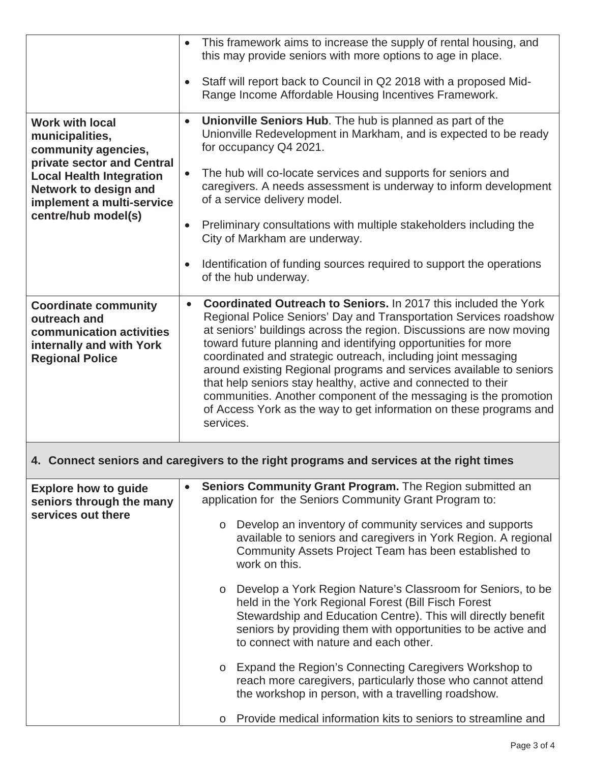|                                                                                                                                                                                                                | This framework aims to increase the supply of rental housing, and<br>this may provide seniors with more options to age in place.                                                                                                                                                                                                                                                                                                                                                                                                                                                                                                                                 |  |  |  |
|----------------------------------------------------------------------------------------------------------------------------------------------------------------------------------------------------------------|------------------------------------------------------------------------------------------------------------------------------------------------------------------------------------------------------------------------------------------------------------------------------------------------------------------------------------------------------------------------------------------------------------------------------------------------------------------------------------------------------------------------------------------------------------------------------------------------------------------------------------------------------------------|--|--|--|
|                                                                                                                                                                                                                | Staff will report back to Council in Q2 2018 with a proposed Mid-<br>$\bullet$<br>Range Income Affordable Housing Incentives Framework.                                                                                                                                                                                                                                                                                                                                                                                                                                                                                                                          |  |  |  |
| <b>Work with local</b><br>municipalities,<br>community agencies,<br>private sector and Central<br><b>Local Health Integration</b><br>Network to design and<br>implement a multi-service<br>centre/hub model(s) | Unionville Seniors Hub. The hub is planned as part of the<br>$\bullet$<br>Unionville Redevelopment in Markham, and is expected to be ready<br>for occupancy Q4 2021.                                                                                                                                                                                                                                                                                                                                                                                                                                                                                             |  |  |  |
|                                                                                                                                                                                                                | The hub will co-locate services and supports for seniors and<br>$\bullet$<br>caregivers. A needs assessment is underway to inform development<br>of a service delivery model.                                                                                                                                                                                                                                                                                                                                                                                                                                                                                    |  |  |  |
|                                                                                                                                                                                                                | Preliminary consultations with multiple stakeholders including the<br>City of Markham are underway.                                                                                                                                                                                                                                                                                                                                                                                                                                                                                                                                                              |  |  |  |
|                                                                                                                                                                                                                | Identification of funding sources required to support the operations<br>of the hub underway.                                                                                                                                                                                                                                                                                                                                                                                                                                                                                                                                                                     |  |  |  |
| <b>Coordinate community</b><br>outreach and<br>communication activities<br>internally and with York<br><b>Regional Police</b>                                                                                  | <b>Coordinated Outreach to Seniors.</b> In 2017 this included the York<br>$\bullet$<br>Regional Police Seniors' Day and Transportation Services roadshow<br>at seniors' buildings across the region. Discussions are now moving<br>toward future planning and identifying opportunities for more<br>coordinated and strategic outreach, including joint messaging<br>around existing Regional programs and services available to seniors<br>that help seniors stay healthy, active and connected to their<br>communities. Another component of the messaging is the promotion<br>of Access York as the way to get information on these programs and<br>services. |  |  |  |
| 4. Connect seniors and caregivers to the right programs and services at the right times                                                                                                                        |                                                                                                                                                                                                                                                                                                                                                                                                                                                                                                                                                                                                                                                                  |  |  |  |
| <b>Explore how to guide</b><br>seniors through the many                                                                                                                                                        | Seniors Community Grant Program. The Region submitted an<br>application for the Seniors Community Grant Program to:                                                                                                                                                                                                                                                                                                                                                                                                                                                                                                                                              |  |  |  |
| services out there                                                                                                                                                                                             | Develop an inventory of community services and supports<br>$\circ$<br>available to seniors and caregivers in York Region. A regional<br>Community Assets Project Team has been established to<br>work on this.                                                                                                                                                                                                                                                                                                                                                                                                                                                   |  |  |  |
|                                                                                                                                                                                                                | Develop a York Region Nature's Classroom for Seniors, to be<br>$\circ$<br>held in the York Regional Forest (Bill Fisch Forest<br>Stewardship and Education Centre). This will directly benefit<br>seniors by providing them with opportunities to be active and<br>to connect with nature and each other.                                                                                                                                                                                                                                                                                                                                                        |  |  |  |
|                                                                                                                                                                                                                | Expand the Region's Connecting Caregivers Workshop to<br>$\circ$<br>reach more caregivers, particularly those who cannot attend<br>the workshop in person, with a travelling roadshow.                                                                                                                                                                                                                                                                                                                                                                                                                                                                           |  |  |  |
|                                                                                                                                                                                                                | Provide medical information kits to seniors to streamline and<br>$\circ$                                                                                                                                                                                                                                                                                                                                                                                                                                                                                                                                                                                         |  |  |  |